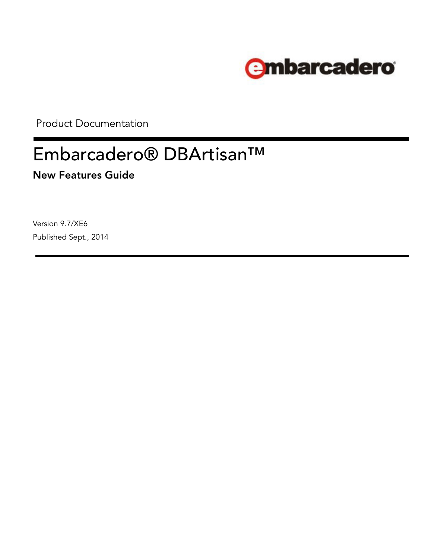

Product Documentation

# Embarcadero® DBArtisan™

**New Features Guide**

Version 9.7/XE6 Published Sept., 2014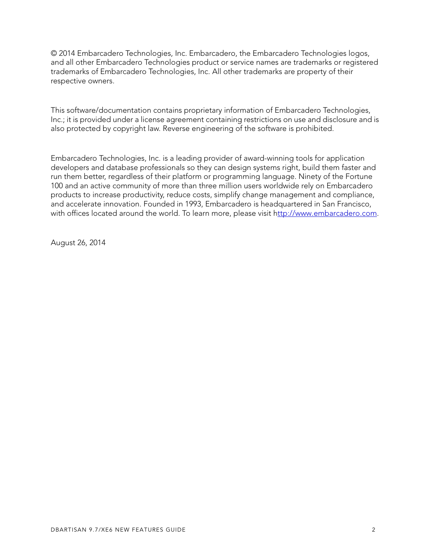© 2014 Embarcadero Technologies, Inc. Embarcadero, the Embarcadero Technologies logos, and all other Embarcadero Technologies product or service names are trademarks or registered trademarks of Embarcadero Technologies, Inc. All other trademarks are property of their respective owners.

This software/documentation contains proprietary information of Embarcadero Technologies, Inc.; it is provided under a license agreement containing restrictions on use and disclosure and is also protected by copyright law. Reverse engineering of the software is prohibited.

Embarcadero Technologies, Inc. is a leading provider of award-winning tools for application developers and database professionals so they can design systems right, build them faster and run them better, regardless of their platform or programming language. Ninety of the Fortune 100 and an active community of more than three million users worldwide rely on Embarcadero products to increase productivity, reduce costs, simplify change management and compliance, and accelerate innovation. Founded in 1993, Embarcadero is headquartered in San Francisco, with offices located around the world. To learn more, please visit h[ttp://www.embarcadero.com](http://www.embarcadero.com).

August 26, 2014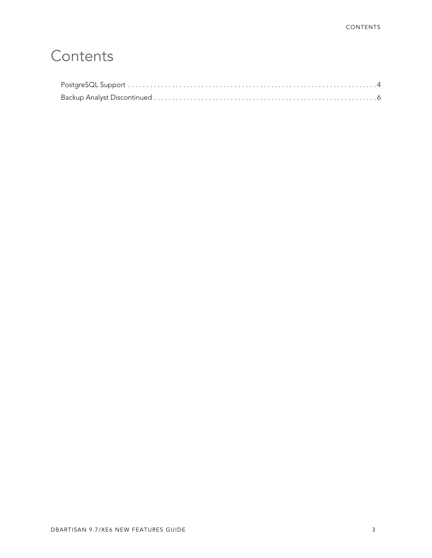# **Contents**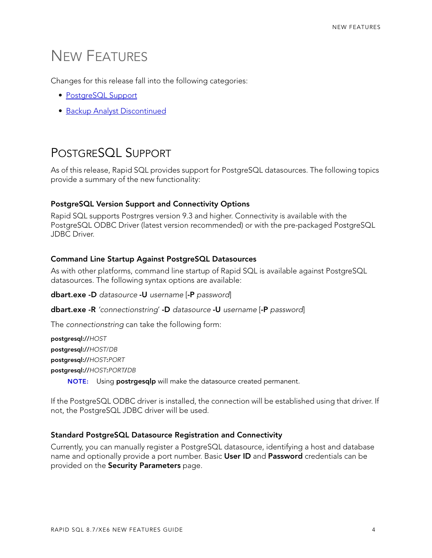## NEW FEATURES

Changes for this release fall into the following categories:

- [PostgreSQL Support](#page-3-0)
- [Backup Analyst Discontinued](#page-5-0)

### <span id="page-3-0"></span>POSTGRESQL SUPPORT

As of this release, Rapid SQL provides support for PostgreSQL datasources. The following topics provide a summary of the new functionality:

#### **PostgreSQL Version Support and Connectivity Options**

Rapid SQL supports Postrgres version 9.3 and higher. Connectivity is available with the PostgreSQL ODBC Driver (latest version recommended) or with the pre-packaged PostgreSQL JDBC Driver.

#### **Command Line Startup Against PostgreSQL Datasources**

As with other platforms, command line startup of Rapid SQL is available against PostgreSQL datasources. The following syntax options are available:

**dbart.exe -D** *datasource* **-U** *username* [**-P** *password*]

**dbart.exe -R** *'connectionstring*' **-D** *datasource* **-U** *username* [**-P** *password*]

The *connectionstring* can take the following form:

**postgresql://***HOST* **postgresql://***HOST*/*DB* **postgresql://***HOST***:***PORT* **postgresql://***HOST***:***PORT***/***DB*

**NOTE:** Using **postrgesqlp** will make the datasource created permanent.

If the PostgreSQL ODBC driver is installed, the connection will be established using that driver. If not, the PostgreSQL JDBC driver will be used.

#### **Standard PostgreSQL Datasource Registration and Connectivity**

Currently, you can manually register a PostgreSQL datasource, identifying a host and database name and optionally provide a port number. Basic **User ID** and **Password** credentials can be provided on the **Security Parameters** page.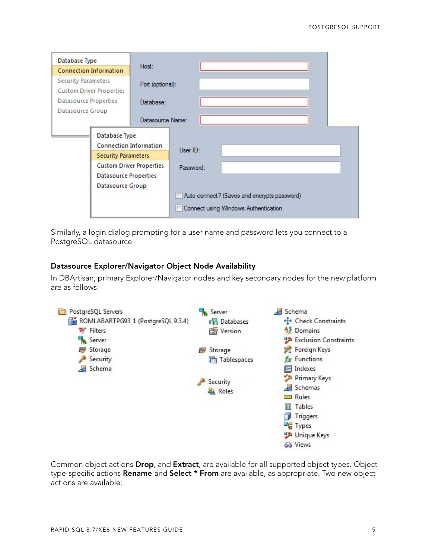| Database Type<br><b>Connection Information</b> |                            | Host:                           |                                      |  |                                             |  |  |  |
|------------------------------------------------|----------------------------|---------------------------------|--------------------------------------|--|---------------------------------------------|--|--|--|
|                                                |                            |                                 |                                      |  |                                             |  |  |  |
| <b>Security Parameters</b>                     |                            | Port (optional):                |                                      |  |                                             |  |  |  |
| Custom Driver Properties                       |                            |                                 |                                      |  |                                             |  |  |  |
| Datasource Properties                          |                            | Database:                       |                                      |  |                                             |  |  |  |
| Datasource Group                               |                            |                                 |                                      |  |                                             |  |  |  |
|                                                |                            | Datasource Name:                |                                      |  |                                             |  |  |  |
|                                                | Database Type              |                                 |                                      |  |                                             |  |  |  |
|                                                |                            | Connection Information          | User ID:                             |  |                                             |  |  |  |
|                                                | <b>Security Parameters</b> |                                 |                                      |  |                                             |  |  |  |
|                                                |                            | <b>Custom Driver Properties</b> | Password:                            |  |                                             |  |  |  |
|                                                | Datasource Properties      |                                 |                                      |  |                                             |  |  |  |
|                                                | Datasource Group           |                                 |                                      |  |                                             |  |  |  |
|                                                |                            |                                 |                                      |  | Auto connect? (Saves and encrypts password) |  |  |  |
|                                                |                            |                                 | Connect using Windows Authentication |  |                                             |  |  |  |

Similarly, a login dialog prompting for a user name and password lets you connect to a PostgreSQL datasource.

#### **Datasource Explorer/Navigator Object Node Availability**

In DBArtisan, primary Explorer/Navigator nodes and key secondary nodes for the new platform are as follows:



Common object actions **Drop**, and **Extract**, are available for all supported object types. Object type-specific actions **Rename** and **Select \* From** are available, as appropriate. Two new object actions are available: